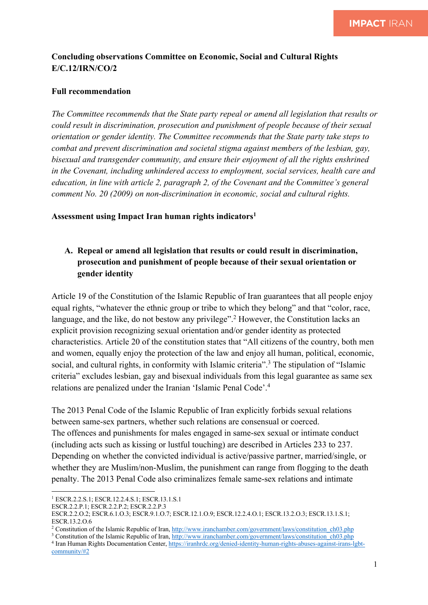## **Concluding observations Committee on Economic, Social and Cultural Rights E/C.12/IRN/CO/2**

### **Full recommendation**

*The Committee recommends that the State party repeal or amend all legislation that results or could result in discrimination, prosecution and punishment of people because of their sexual orientation or gender identity. The Committee recommends that the State party take steps to combat and prevent discrimination and societal stigma against members of the lesbian, gay, bisexual and transgender community, and ensure their enjoyment of all the rights enshrined in the Covenant, including unhindered access to employment, social services, health care and education, in line with article 2, paragraph 2, of the Covenant and the Committee's general comment No. 20 (2009) on non-discrimination in economic, social and cultural rights.*

#### **Assessment using Impact Iran human rights indicators1**

# **A. Repeal or amend all legislation that results or could result in discrimination, prosecution and punishment of people because of their sexual orientation or gender identity**

Article 19 of the Constitution of the Islamic Republic of Iran guarantees that all people enjoy equal rights, "whatever the ethnic group or tribe to which they belong" and that "color, race, language, and the like, do not bestow any privilege".<sup>2</sup> However, the Constitution lacks an explicit provision recognizing sexual orientation and/or gender identity as protected characteristics. Article 20 of the constitution states that "All citizens of the country, both men and women, equally enjoy the protection of the law and enjoy all human, political, economic, social, and cultural rights, in conformity with Islamic criteria".<sup>3</sup> The stipulation of "Islamic criteria" excludes lesbian, gay and bisexual individuals from this legal guarantee as same sex relations are penalized under the Iranian 'Islamic Penal Code'. 4

The 2013 Penal Code of the Islamic Republic of Iran explicitly forbids sexual relations between same-sex partners, whether such relations are consensual or coerced. The offences and punishments for males engaged in same-sex sexual or intimate conduct (including acts such as kissing or lustful touching) are described in Articles 233 to 237. Depending on whether the convicted individual is active/passive partner, married/single, or whether they are Muslim/non-Muslim, the punishment can range from flogging to the death penalty. The 2013 Penal Code also criminalizes female same-sex relations and intimate

<sup>2</sup> Constitution of the Islamic Republic of Iran, http://www.iranchamber.com/government/laws/constitution\_ch03.php

<sup>1</sup> ESCR.2.2.S.1; ESCR.12.2.4.S.1; ESCR.13.1.S.1

ESCR.2.2.P.1; ESCR.2.2.P.2; ESCR.2.2.P.3

ESCR.2.2.O.2; ESCR.6.1.O.3; ESCR.9.1.O.7; ESCR.12.1.O.9; ESCR.12.2.4.O.1; ESCR.13.2.O.3; ESCR.13.1.S.1; ESCR.13.2.O.6

<sup>&</sup>lt;sup>3</sup> Constitution of the Islamic Republic of Iran, http://www.iranchamber.com/government/laws/constitution\_ch03.php

<sup>&</sup>lt;sup>4</sup> Iran Human Rights Documentation Center, https://iranhrdc.org/denied-identity-human-rights-abuses-against-irans-lgbtcommunity/#2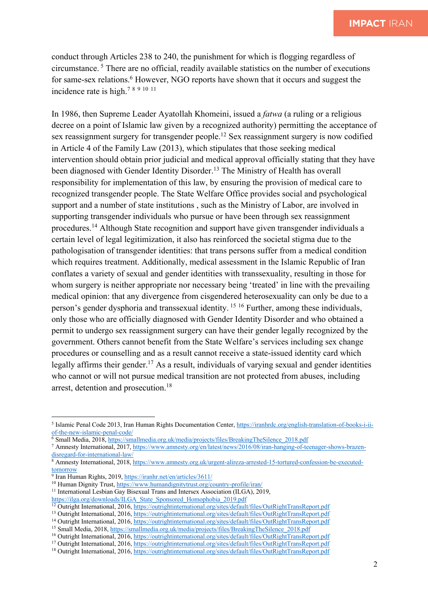conduct through Articles 238 to 240, the punishment for which is flogging regardless of circumstance. <sup>5</sup> There are no official, readily available statistics on the number of executions for same-sex relations.<sup>6</sup> However, NGO reports have shown that it occurs and suggest the incidence rate is high.7 <sup>8</sup> <sup>9</sup> <sup>10</sup> <sup>11</sup>

In 1986, then Supreme Leader Ayatollah Khomeini, issued a *fatwa* (a ruling or a religious decree on a point of Islamic law given by a recognized authority) permitting the acceptance of sex reassignment surgery for transgender people.<sup>12</sup> Sex reassignment surgery is now codified in Article 4 of the Family Law (2013), which stipulates that those seeking medical intervention should obtain prior judicial and medical approval officially stating that they have been diagnosed with Gender Identity Disorder.<sup>13</sup> The Ministry of Health has overall responsibility for implementation of this law, by ensuring the provision of medical care to recognized transgender people. The State Welfare Office provides social and psychological support and a number of state institutions , such as the Ministry of Labor, are involved in supporting transgender individuals who pursue or have been through sex reassignment procedures.<sup>14</sup> Although State recognition and support have given transgender individuals a certain level of legal legitimization, it also has reinforced the societal stigma due to the pathologisation of transgender identities: that trans persons suffer from a medical condition which requires treatment. Additionally, medical assessment in the Islamic Republic of Iran conflates a variety of sexual and gender identities with transsexuality, resulting in those for whom surgery is neither appropriate nor necessary being 'treated' in line with the prevailing medical opinion: that any divergence from cisgendered heterosexuality can only be due to a person's gender dysphoria and transsexual identity. <sup>15</sup> <sup>16</sup> Further, among these individuals, only those who are officially diagnosed with Gender Identity Disorder and who obtained a permit to undergo sex reassignment surgery can have their gender legally recognized by the government. Others cannot benefit from the State Welfare's services including sex change procedures or counselling and as a result cannot receive a state-issued identity card which legally affirms their gender.<sup>17</sup> As a result, individuals of varying sexual and gender identities who cannot or will not pursue medical transition are not protected from abuses, including arrest, detention and prosecution.18

<sup>5</sup> Islamic Penal Code 2013, Iran Human Rights Documentation Center, https://iranhrdc.org/english-translation-of-books-i-iiof-the-new-islamic-penal-code/

<sup>6</sup> Small Media, 2018, https://smallmedia.org.uk/media/projects/files/BreakingTheSilence\_2018.pdf

<sup>7</sup> Amnesty International, 2017, https://www.amnesty.org/en/latest/news/2016/08/iran-hanging-of-teenager-shows-brazendisregard-for-international-law/

<sup>8</sup> Amnesty International, 2018, https://www.amnesty.org.uk/urgent-alireza-arrested-15-tortured-confession-be-executedtomorrow

 $\frac{9}{9}$  Iran Human Rights, 2019, https://iranhr.net/en/articles/3611/

<sup>10</sup> Human Dignity Trust, https://www.humandignitytrust.org/country-profile/iran/

<sup>&</sup>lt;sup>11</sup> International Lesbian Gay Bisexual Trans and Intersex Association (ILGA), 2019,

https://ilga.org/downloads/ILGA\_State\_Sponsored\_Homophobia\_2019.pdf

<sup>12</sup> Outright International, 2016, https://outrightinternational.org/sites/default/files/OutRightTransReport.pdf

<sup>13</sup> Outright International, 2016, https://outrightinternational.org/sites/default/files/OutRightTransReport.pdf

<sup>&</sup>lt;sup>14</sup> Outright International, 2016, https://outrightinternational.org/sites/default/files/OutRightTransReport.pdf

<sup>&</sup>lt;sup>15</sup> Small Media, 2018, https://smallmedia.org.uk/media/projects/files/BreakingTheSilence\_2018.pdf

<sup>16</sup> Outright International, 2016, https://outrightinternational.org/sites/default/files/OutRightTransReport.pdf

<sup>17</sup> Outright International, 2016, https://outrightinternational.org/sites/default/files/OutRightTransReport.pdf

<sup>18</sup> Outright International, 2016, https://outrightinternational.org/sites/default/files/OutRightTransReport.pdf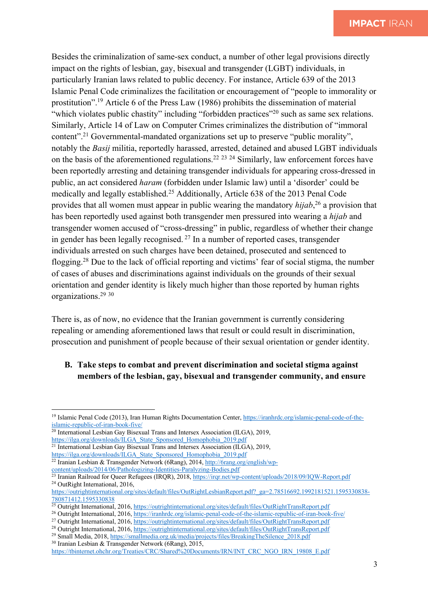Besides the criminalization of same-sex conduct, a number of other legal provisions directly impact on the rights of lesbian, gay, bisexual and transgender (LGBT) individuals, in particularly Iranian laws related to public decency. For instance, Article 639 of the 2013 Islamic Penal Code criminalizes the facilitation or encouragement of "people to immorality or prostitution".19 Article 6 of the Press Law (1986) prohibits the dissemination of material "which violates public chastity" including "forbidden practices"<sup>20</sup> such as same sex relations. Similarly, Article 14 of Law on Computer Crimes criminalizes the distribution of "immoral content".21 Governmental-mandated organizations set up to preserve "public morality", notably the *Basij* militia, reportedly harassed, arrested, detained and abused LGBT individuals on the basis of the aforementioned regulations.<sup>22 23 24</sup> Similarly, law enforcement forces have been reportedly arresting and detaining transgender individuals for appearing cross-dressed in public, an act considered *haram* (forbidden under Islamic law) until a 'disorder' could be medically and legally established.25 Additionally, Article 638 of the 2013 Penal Code provides that all women must appear in public wearing the mandatory *hijab*, <sup>26</sup> a provision that has been reportedly used against both transgender men pressured into wearing a *hijab* and transgender women accused of "cross-dressing" in public, regardless of whether their change in gender has been legally recognised.  $27$  In a number of reported cases, transgender individuals arrested on such charges have been detained, prosecuted and sentenced to flogging.28 Due to the lack of official reporting and victims' fear of social stigma, the number of cases of abuses and discriminations against individuals on the grounds of their sexual orientation and gender identity is likely much higher than those reported by human rights organizations.29 <sup>30</sup>

There is, as of now, no evidence that the Iranian government is currently considering repealing or amending aforementioned laws that result or could result in discrimination, prosecution and punishment of people because of their sexual orientation or gender identity.

## **B. Take steps to combat and prevent discrimination and societal stigma against members of the lesbian, gay, bisexual and transgender community, and ensure**

- <sup>21</sup> International Lesbian Gay Bisexual Trans and Intersex Association (ILGA), 2019,
- https://ilga.org/downloads/ILGA\_State\_Sponsored\_Homophobia\_2019.pdf <sup>22</sup> Iranian Lesbian & Transgender Network (6Rang), 2014, http://6rang.org/english/wp-

<sup>19</sup> Islamic Penal Code (2013), Iran Human Rights Documentation Center, https://iranhrdc.org/islamic-penal-code-of-theislamic-republic-of-iran-book-five/

<sup>&</sup>lt;sup>20</sup> International Lesbian Gay Bisexual Trans and Intersex Association (ILGA), 2019, https://ilga.org/downloads/ILGA\_State\_Sponsored\_Homophobia\_2019.pdf

content/uploads/2014/06/Pathologizing-Identities-Paralyzing-Bodies.pdf <sup>23</sup> Iranian Railroad for Queer Refugees (IRQR), 2018, https://irqr.net/wp-content/uploads/2018/09/IQW-Report.pdf

<sup>&</sup>lt;sup>24</sup> OutRight International, 2016,

https://outrightinternational.org/sites/default/files/OutRightLesbianReport.pdf?\_ga=2.78516692.1992181521.1595330838-780871412.1595330838

<sup>&</sup>lt;sup>25</sup> Outright International, 2016, https://outrightinternational.org/sites/default/files/OutRightTransReport.pdf

<sup>26</sup> Outright International, 2016, https://iranhrdc.org/islamic-penal-code-of-the-islamic-republic-of-iran-book-five/

<sup>&</sup>lt;sup>27</sup> Outright International, 2016, https://outrightinternational.org/sites/default/files/OutRightTransReport.pdf

<sup>&</sup>lt;sup>28</sup> Outright International, 2016, https://outrightinternational.org/sites/default/files/OutRightTransReport.pdf

<sup>&</sup>lt;sup>29</sup> Small Media, 2018, https://smallmedia.org.uk/media/projects/files/BreakingTheSilence\_2018.pdf <sup>30</sup> Iranian Lesbian & Transgender Network (6Rang), 2015,

https://tbinternet.ohchr.org/Treaties/CRC/Shared%20Documents/IRN/INT\_CRC\_NGO\_IRN\_19808\_E.pdf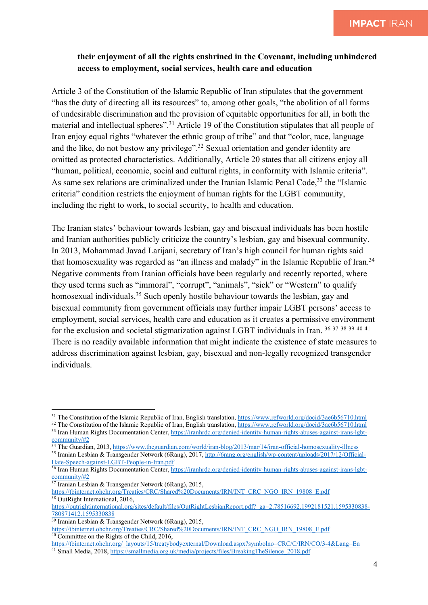### **their enjoyment of all the rights enshrined in the Covenant, including unhindered access to employment, social services, health care and education**

Article 3 of the Constitution of the Islamic Republic of Iran stipulates that the government "has the duty of directing all its resources" to, among other goals, "the abolition of all forms of undesirable discrimination and the provision of equitable opportunities for all, in both the material and intellectual spheres".31 Article 19 of the Constitution stipulates that all people of Iran enjoy equal rights "whatever the ethnic group of tribe" and that "color, race, language and the like, do not bestow any privilege".32 Sexual orientation and gender identity are omitted as protected characteristics. Additionally, Article 20 states that all citizens enjoy all "human, political, economic, social and cultural rights, in conformity with Islamic criteria". As same sex relations are criminalized under the Iranian Islamic Penal Code,<sup>33</sup> the "Islamic criteria" condition restricts the enjoyment of human rights for the LGBT community, including the right to work, to social security, to health and education.

The Iranian states' behaviour towards lesbian, gay and bisexual individuals has been hostile and Iranian authorities publicly criticize the country's lesbian, gay and bisexual community. In 2013, Mohammad Javad Larijani, secretary of Iran's high council for human rights said that homosexuality was regarded as "an illness and malady" in the Islamic Republic of Iran.<sup>34</sup> Negative comments from Iranian officials have been regularly and recently reported, where they used terms such as "immoral", "corrupt", "animals", "sick" or "Western" to qualify homosexual individuals.<sup>35</sup> Such openly hostile behaviour towards the lesbian, gay and bisexual community from government officials may further impair LGBT persons' access to employment, social services, health care and education as it creates a permissive environment for the exclusion and societal stigmatization against LGBT individuals in Iran. 36 <sup>37</sup> <sup>38</sup> <sup>39</sup> <sup>40</sup> <sup>41</sup> There is no readily available information that might indicate the existence of state measures to address discrimination against lesbian, gay, bisexual and non-legally recognized transgender individuals.

https://tbinternet.ohchr.org/Treaties/CRC/Shared%20Documents/IRN/INT\_CRC\_NGO\_IRN\_19808\_E.pdf <sup>38</sup> OutRight International, 2016,

<sup>&</sup>lt;sup>31</sup> The Constitution of the Islamic Republic of Iran, English translation, https://www.refworld.org/docid/3ae6b56710.html

<sup>&</sup>lt;sup>32</sup> The Constitution of the Islamic Republic of Iran, English translation, https://www.refworld.org/docid/3ae6b56710.html <sup>33</sup> Iran Human Rights Documentation Center, https://iranhrdc.org/denied-identity-human-rights-abuses-against-irans-lgbtcommunity/#2

<sup>&</sup>lt;sup>34</sup> The Guardian, 2013, https://www.theguardian.com/world/iran-blog/2013/mar/14/iran-official-homosexuality-illness <sup>35</sup> Iranian Lesbian & Transgender Network (6Rang), 2017, http://6rang.org/english/wp-content/uploads/2017/12/Official-

Hate-Speech-against-LGBT-People-in-Iran.pdf

<sup>&</sup>lt;sup>36</sup> Iran Human Rights Documentation Center, https://iranhrdc.org/denied-identity-human-rights-abuses-against-irans-lgbtcommunity/#2

 $37$  Iranian Lesbian & Transgender Network (6Rang), 2015,

https://outrightinternational.org/sites/default/files/OutRightLesbianReport.pdf?\_ga=2.78516692.1992181521.1595330838-780871412.1595330838

<sup>39</sup> Iranian Lesbian & Transgender Network (6Rang), 2015,

https://tbinternet.ohchr.org/Treaties/CRC/Shared%20Documents/IRN/INT\_CRC\_NGO\_IRN\_19808\_E.pdf <sup>40</sup> Committee on the Rights of the Child, 2016,

https://tbinternet.ohchr.org/\_layouts/15/treatybodyexternal/Download.aspx?symbolno=CRC/C/IRN/CO/3-4&Lang=En <sup>41</sup> Small Media, 2018, https://smallmedia.org.uk/media/projects/files/BreakingTheSilence\_2018.pdf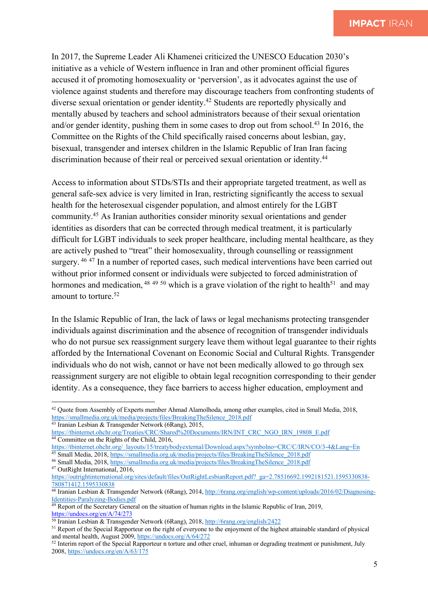In 2017, the Supreme Leader Ali Khamenei criticized the UNESCO Education 2030's initiative as a vehicle of Western influence in Iran and other prominent official figures accused it of promoting homosexuality or 'perversion', as it advocates against the use of violence against students and therefore may discourage teachers from confronting students of diverse sexual orientation or gender identity.<sup>42</sup> Students are reportedly physically and mentally abused by teachers and school administrators because of their sexual orientation and/or gender identity, pushing them in some cases to drop out from school.<sup>43</sup> In 2016, the Committee on the Rights of the Child specifically raised concerns about lesbian, gay, bisexual, transgender and intersex children in the Islamic Republic of Iran Iran facing discrimination because of their real or perceived sexual orientation or identity.44

Access to information about STDs/STIs and their appropriate targeted treatment, as well as general safe-sex advice is very limited in Iran, restricting significantly the access to sexual health for the heterosexual cisgender population, and almost entirely for the LGBT community.45 As Iranian authorities consider minority sexual orientations and gender identities as disorders that can be corrected through medical treatment, it is particularly difficult for LGBT individuals to seek proper healthcare, including mental healthcare, as they are actively pushed to "treat" their homosexuality, through counselling or reassignment surgery. <sup>46 47</sup> In a number of reported cases, such medical interventions have been carried out without prior informed consent or individuals were subjected to forced administration of hormones and medication, <sup>48 49 50</sup> which is a grave violation of the right to health<sup>51</sup> and may amount to torture. 52

In the Islamic Republic of Iran, the lack of laws or legal mechanisms protecting transgender individuals against discrimination and the absence of recognition of transgender individuals who do not pursue sex reassignment surgery leave them without legal guarantee to their rights afforded by the International Covenant on Economic Social and Cultural Rights. Transgender individuals who do not wish, cannot or have not been medically allowed to go through sex reassignment surgery are not eligible to obtain legal recognition corresponding to their gender identity. As a consequence, they face barriers to access higher education, employment and

<sup>42</sup> Quote from Assembly of Experts member Ahmad Alamolhoda, among other examples, cited in Small Media, 2018, https://smallmedia.org.uk/media/projects/files/BreakingTheSilence\_2018.pdf <sup>43</sup> Iranian Lesbian & Transgender Network (6Rang), 2015,

https://tbinternet.ohchr.org/Treaties/CRC/Shared%20Documents/IRN/INT\_CRC\_NGO\_IRN\_19808\_E.pdf <sup>44</sup> Committee on the Rights of the Child, 2016,

https://tbinternet.ohchr.org/\_layouts/15/treatybodyexternal/Download.aspx?symbolno=CRC/C/IRN/CO/3-4&Lang=En

<sup>45</sup> Small Media, 2018, https://smallmedia.org.uk/media/projects/files/BreakingTheSilence\_2018.pdf

<sup>46</sup> Small Media, 2018, https://smallmedia.org.uk/media/projects/files/BreakingTheSilence\_2018.pdf

<sup>47</sup> OutRight International, 2016,

https://outrightinternational.org/sites/default/files/OutRightLesbianReport.pdf?\_ga=2.78516692.1992181521.1595330838-780871412.1595330838

<sup>48</sup> Iranian Lesbian & Transgender Network (6Rang), 2014, http://6rang.org/english/wp-content/uploads/2016/02/Diagnosing-Identities-Paralyzing-Bodies.pdf

 $49$  Report of the Secretary General on the situation of human rights in the Islamic Republic of Iran, 2019, https://undocs.org/en/A/74/273

<sup>50</sup> Iranian Lesbian & Transgender Network (6Rang), 2018, http://6rang.org/english/2422

<sup>&</sup>lt;sup>51</sup> Report of the Special Rapporteur on the right of everyone to the enjoyment of the highest attainable standard of physical and mental health, August 2009, https://undocs.org/A/64/272

<sup>&</sup>lt;sup>52</sup> Interim report of the Special Rapporteur n torture and other cruel, inhuman or degrading treatment or punishment, July 2008, https://undocs.org/en/A/63/175